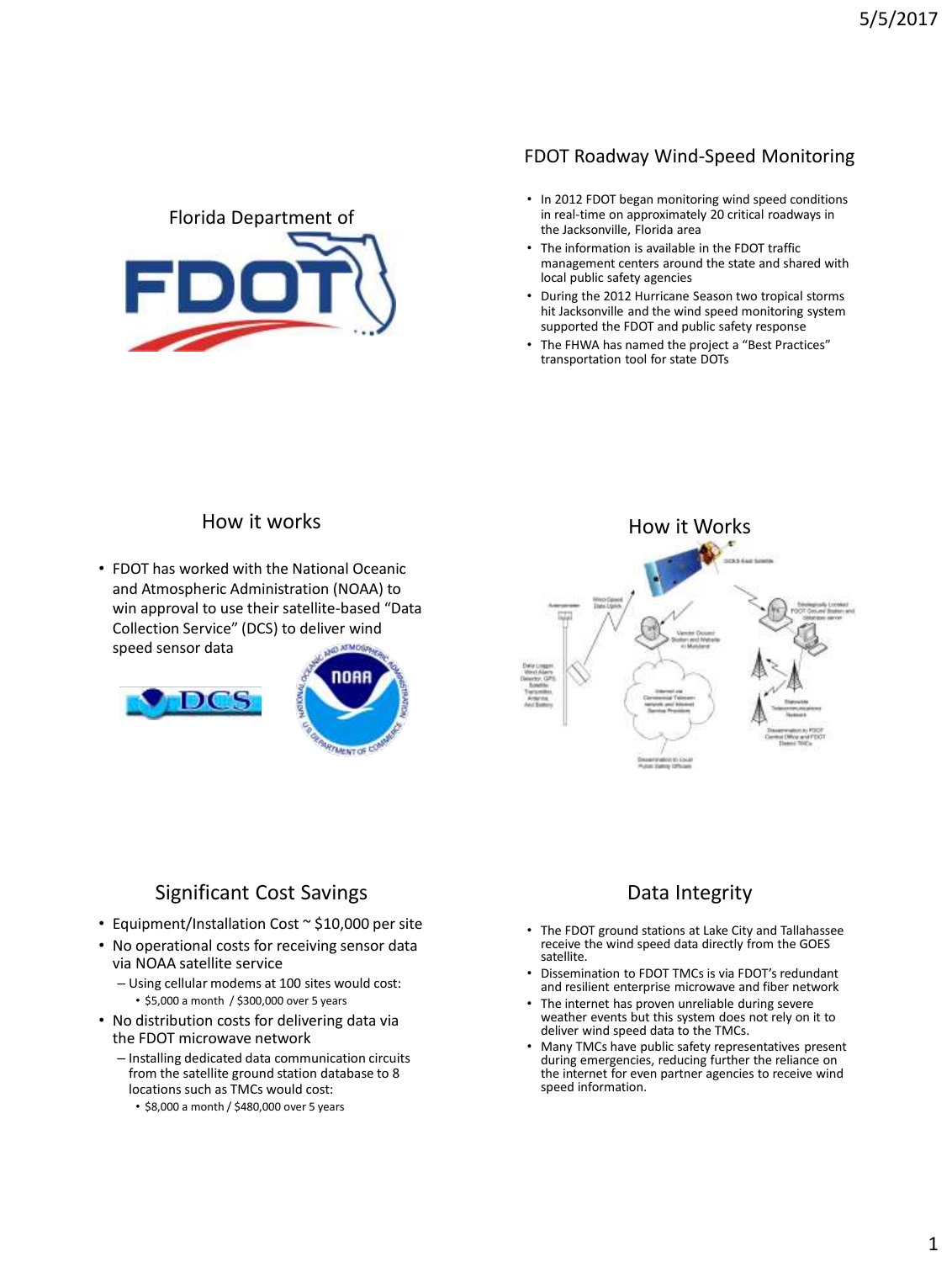#### FDOT Roadway Wind-Speed Monitoring

- Florida Department of  $\sum_{i=1}^n$ Speed Monitoring Project AMS Washington Forum  $\overline{\phantom{a}}$
- In 2012 FDOT began monitoring wind speed conditions in real-time on approximately 20 critical roadways in the Jacksonville, Florida area
- The information is available in the FDOT traffic management centers around the state and shared with local public safety agencies
- During the 2012 Hurricane Season two tropical storms hit Jacksonville and the wind speed monitoring system supported the FDOT and public safety response
- The FHWA has named the project a "Best Practices" transportation tool for state DOTs

## How it works

• FDOT has worked with the National Oceanic and Atmospheric Administration (NOAA) to win approval to use their satellite-based "Data Collection Service" (DCS) to deliver wind speed sensor data







# Significant Cost Savings

- Equipment/Installation Cost ~ \$10,000 per site
- No operational costs for receiving sensor data via NOAA satellite service
	- Using cellular modems at 100 sites would cost: • \$5,000 a month / \$300,000 over 5 years
- No distribution costs for delivering data via the FDOT microwave network
	- Installing dedicated data communication circuits from the satellite ground station database to 8 locations such as TMCs would cost:
		- \$8,000 a month / \$480,000 over 5 years

## Data Integrity

- The FDOT ground stations at Lake City and Tallahassee receive the wind speed data directly from the GOES satellite.
- Dissemination to FDOT TMCs is via FDOT's redundant and resilient enterprise microwave and fiber network
- The internet has proven unreliable during severe weather events but this system does not rely on it to deliver wind speed data to the TMCs.
- Many TMCs have public safety representatives present during emergencies, reducing further the reliance on the internet for even partner agencies to receive wind speed information.